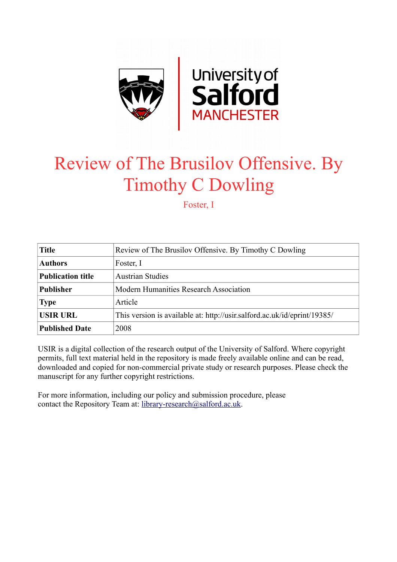

## Review of The Brusilov Offensive. By Timothy C Dowling

Foster, I

| <b>Title</b>             | Review of The Brusilov Offensive. By Timothy C Dowling                   |
|--------------------------|--------------------------------------------------------------------------|
| <b>Authors</b>           | Foster, I                                                                |
| <b>Publication title</b> | <b>Austrian Studies</b>                                                  |
| <b>Publisher</b>         | Modern Humanities Research Association                                   |
| <b>Type</b>              | Article                                                                  |
| <b>USIR URL</b>          | This version is available at: http://usir.salford.ac.uk/id/eprint/19385/ |
| <b>Published Date</b>    | 2008                                                                     |

USIR is a digital collection of the research output of the University of Salford. Where copyright permits, full text material held in the repository is made freely available online and can be read, downloaded and copied for non-commercial private study or research purposes. Please check the manuscript for any further copyright restrictions.

For more information, including our policy and submission procedure, please contact the Repository Team at: [library-research@salford.ac.uk.](mailto:library-research@salford.ac.uk)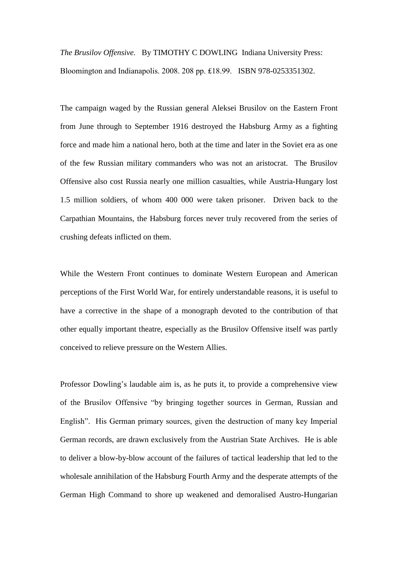*The Brusilov Offensive.* By TIMOTHY C DOWLING Indiana University Press: Bloomington and Indianapolis. 2008. 208 pp. ₤18.99. ISBN 978-0253351302.

The campaign waged by the Russian general Aleksei Brusilov on the Eastern Front from June through to September 1916 destroyed the Habsburg Army as a fighting force and made him a national hero, both at the time and later in the Soviet era as one of the few Russian military commanders who was not an aristocrat. The Brusilov Offensive also cost Russia nearly one million casualties, while Austria-Hungary lost 1.5 million soldiers, of whom 400 000 were taken prisoner. Driven back to the Carpathian Mountains, the Habsburg forces never truly recovered from the series of crushing defeats inflicted on them.

While the Western Front continues to dominate Western European and American perceptions of the First World War, for entirely understandable reasons, it is useful to have a corrective in the shape of a monograph devoted to the contribution of that other equally important theatre, especially as the Brusilov Offensive itself was partly conceived to relieve pressure on the Western Allies.

Professor Dowling"s laudable aim is, as he puts it, to provide a comprehensive view of the Brusilov Offensive "by bringing together sources in German, Russian and English". His German primary sources, given the destruction of many key Imperial German records, are drawn exclusively from the Austrian State Archives. He is able to deliver a blow-by-blow account of the failures of tactical leadership that led to the wholesale annihilation of the Habsburg Fourth Army and the desperate attempts of the German High Command to shore up weakened and demoralised Austro-Hungarian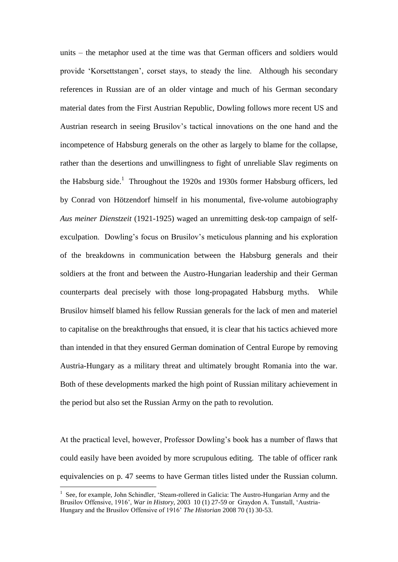units – the metaphor used at the time was that German officers and soldiers would provide "Korsettstangen", corset stays, to steady the line. Although his secondary references in Russian are of an older vintage and much of his German secondary material dates from the First Austrian Republic, Dowling follows more recent US and Austrian research in seeing Brusilov"s tactical innovations on the one hand and the incompetence of Habsburg generals on the other as largely to blame for the collapse, rather than the desertions and unwillingness to fight of unreliable Slav regiments on the Habsburg side.<sup>1</sup> Throughout the 1920s and 1930s former Habsburg officers, led by Conrad von Hötzendorf himself in his monumental, five-volume autobiography *Aus meiner Dienstzeit* (1921-1925) waged an unremitting desk-top campaign of selfexculpation. Dowling's focus on Brusilov's meticulous planning and his exploration of the breakdowns in communication between the Habsburg generals and their soldiers at the front and between the Austro-Hungarian leadership and their German counterparts deal precisely with those long-propagated Habsburg myths. While Brusilov himself blamed his fellow Russian generals for the lack of men and materiel to capitalise on the breakthroughs that ensued, it is clear that his tactics achieved more than intended in that they ensured German domination of Central Europe by removing Austria-Hungary as a military threat and ultimately brought Romania into the war. Both of these developments marked the high point of Russian military achievement in the period but also set the Russian Army on the path to revolution.

At the practical level, however, Professor Dowling"s book has a number of flaws that could easily have been avoided by more scrupulous editing. The table of officer rank equivalencies on p. 47 seems to have German titles listed under the Russian column.

<u>.</u>

<sup>1</sup> See, for example, John Schindler, "Steam-rollered in Galicia: The Austro-Hungarian Army and the Brusilov Offensive, 1916", *War in History*, 2003 10 (1) 27-59 or Graydon A. Tunstall, "Austria-Hungary and the Brusilov Offensive of 1916" *The Historian* 2008 70 (1) 30-53.